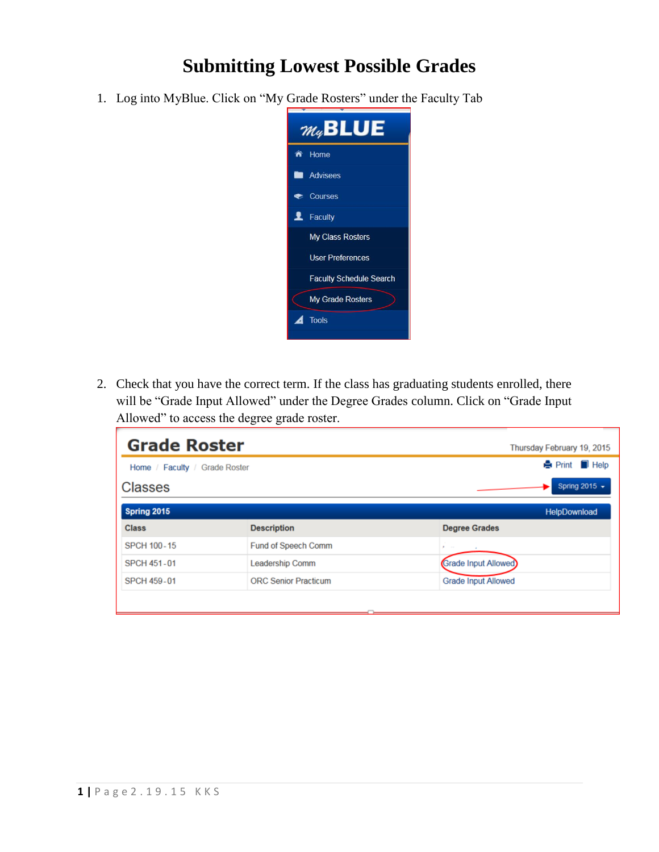## **Submitting Lowest Possible Grades**

1. Log into MyBlue. Click on "My Grade Rosters" under the Faculty Tab



2. Check that you have the correct term. If the class has graduating students enrolled, there will be "Grade Input Allowed" under the Degree Grades column. Click on "Grade Input Allowed" to access the degree grade roster.

| <b>Grade Roster</b>           |                             | Thursday February 19, 2015   |
|-------------------------------|-----------------------------|------------------------------|
| Home / Faculty / Grade Roster |                             | <b>A</b> Print <b>I</b> Help |
| <b>Classes</b>                |                             | Spring 2015 -                |
| Spring 2015                   |                             | HelpDownload                 |
| <b>Class</b>                  | <b>Description</b>          | <b>Degree Grades</b>         |
| <b>SPCH 100-15</b>            | Fund of Speech Comm         | <b>All Service</b>           |
| <b>SPCH 451-01</b>            | <b>Leadership Comm</b>      | Grade Input Allowed          |
| <b>SPCH 459-01</b>            | <b>ORC Senior Practicum</b> | <b>Grade Input Allowed</b>   |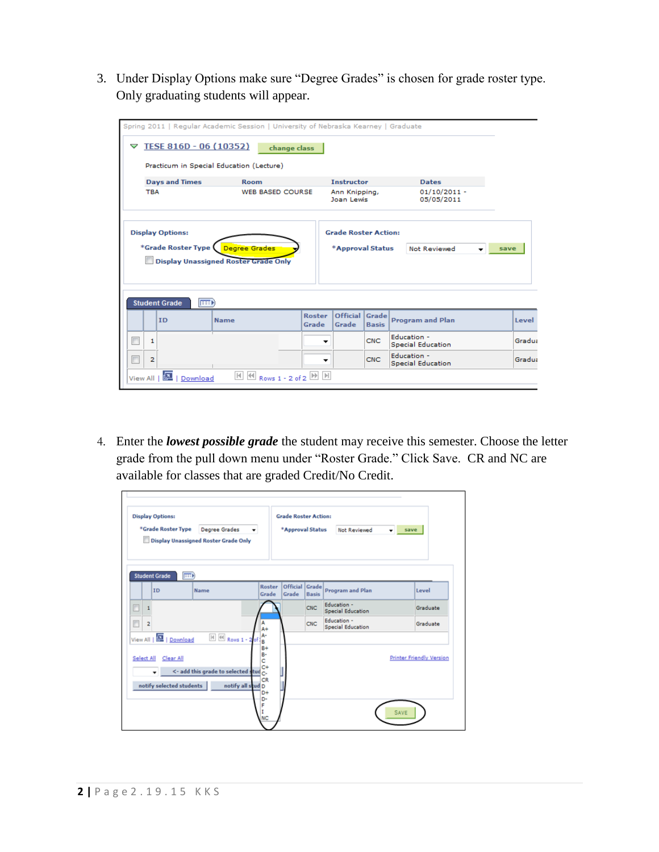3. Under Display Options make sure "Degree Grades" is chosen for grade roster type. Only graduating students will appear.

| Q | TESE 816D - 06 (10352)                                                                | Spring 2011   Regular Academic Session   University of Nebraska Kearney   Graduate<br>change class |                        |                                                                     |              |                                         |       |  |  |  |  |  |
|---|---------------------------------------------------------------------------------------|----------------------------------------------------------------------------------------------------|------------------------|---------------------------------------------------------------------|--------------|-----------------------------------------|-------|--|--|--|--|--|
|   | Practicum in Special Education (Lecture)                                              |                                                                                                    |                        |                                                                     |              |                                         |       |  |  |  |  |  |
|   | <b>Days and Times</b>                                                                 | <b>Room</b>                                                                                        |                        | <b>Instructor</b>                                                   |              | <b>Dates</b>                            |       |  |  |  |  |  |
|   | <b>TBA</b>                                                                            | <b>WEB BASED COURSE</b>                                                                            |                        | Ann Knipping,<br>Joan Lewis                                         |              | $01/10/2011 -$<br>05/05/2011            |       |  |  |  |  |  |
|   | <b>Display Options:</b><br>*Grade Roster Type (<br><b>Student Grade</b><br><b>Exc</b> | <b>Degree Grades</b><br><b>Display Unassigned Roster Grade Only</b>                                |                        | <b>Grade Roster Action:</b><br>*Approval Status                     |              | Not Reviewed<br>save                    |       |  |  |  |  |  |
|   | ID                                                                                    | <b>Name</b>                                                                                        | <b>Roster</b><br>Grade | Official Grade<br>Grade                                             | <b>Basis</b> | <b>Program and Plan</b>                 | Level |  |  |  |  |  |
|   | 1                                                                                     |                                                                                                    |                        |                                                                     |              |                                         |       |  |  |  |  |  |
|   |                                                                                       |                                                                                                    | ▼                      |                                                                     | <b>CNC</b>   | Education -<br><b>Special Education</b> |       |  |  |  |  |  |
|   | 2                                                                                     |                                                                                                    |                        | Gradua<br>Education -<br>CNC.<br>Gradua<br><b>Special Education</b> |              |                                         |       |  |  |  |  |  |

4. Enter the *lowest possible grade* the student may receive this semester. Choose the letter grade from the pull down menu under "Roster Grade." Click Save. CR and NC are available for classes that are graded Credit/No Credit.

|                   | <b>Display Options:</b><br>*Grade Roster Type                    | Degree Grades<br>Display Unassigned Roster Grade Only                            |                                            | <b>Grade Roster Action:</b><br>*Approval Status |              | Not Reviewed<br>۰                       | save                            |
|-------------------|------------------------------------------------------------------|----------------------------------------------------------------------------------|--------------------------------------------|-------------------------------------------------|--------------|-----------------------------------------|---------------------------------|
|                   | <b>EXE</b><br><b>Student Grade</b><br><b>ID</b>                  | Name                                                                             | Roster<br>Grade                            | Official Grade<br>Grade                         | <b>Basis</b> | <b>Program and Plan</b>                 | Level                           |
| ℿ                 |                                                                  |                                                                                  |                                            |                                                 | CNC          | Education -<br>Special Education        | Graduate                        |
| $\overline{a}$    |                                                                  |                                                                                  | $A +$<br>A٠                                |                                                 | <b>CNC</b>   | Education -<br><b>Special Education</b> | Graduate                        |
| <b>Select All</b> | View All   2   Download<br>Clear All<br>notify selected students | H 44 Rows 1 - 2 of<br><- add this grade to selected stud c-<br>notify all stud D | B<br>$B +$<br>в-<br>c<br>$C +$<br>CR<br>D+ |                                                 |              |                                         | <b>Printer Friendly Version</b> |
|                   |                                                                  |                                                                                  | D٠<br>F<br><b>NC</b>                       |                                                 |              |                                         | SAVE                            |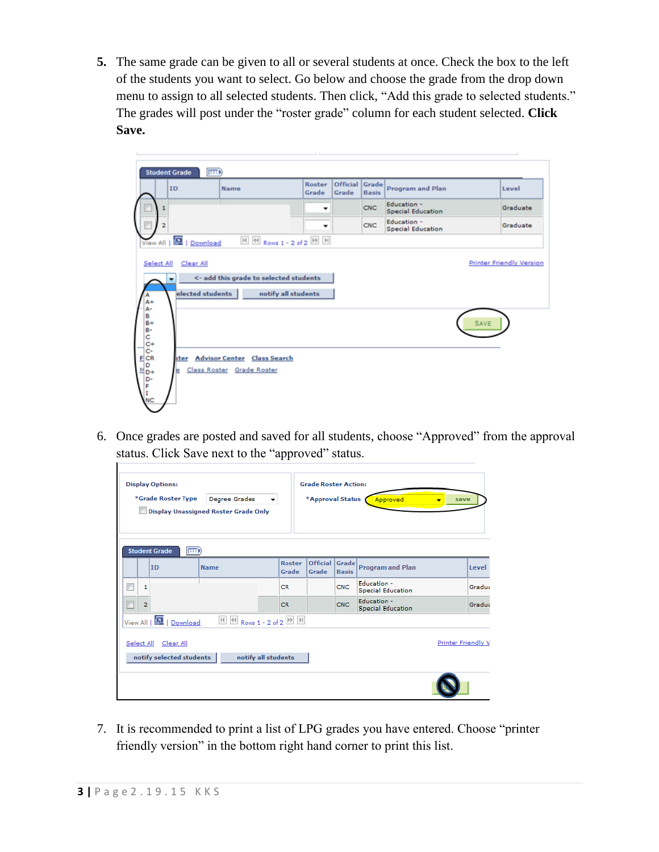**5.** The same grade can be given to all or several students at once. Check the box to the left of the students you want to select. Go below and choose the grade from the drop down menu to assign to all selected students. Then click, "Add this grade to selected students." The grades will post under the "roster grade" column for each student selected. **Click Save.**



6. Once grades are posted and saved for all students, choose "Approved" from the approval status. Click Save next to the "approved" status.

|   | <b>Display Options:</b><br>*Grade Roster Type<br><b>Degree Grades</b><br>$\overline{\phantom{a}}$<br><b>Display Unassigned Roster Grade Only</b> |                                       |                                                             |                        | <b>Grade Roster Action:</b><br>*Approval Status |              | Approved<br>٠                           | save                      |
|---|--------------------------------------------------------------------------------------------------------------------------------------------------|---------------------------------------|-------------------------------------------------------------|------------------------|-------------------------------------------------|--------------|-----------------------------------------|---------------------------|
|   |                                                                                                                                                  | <b>Student Grade</b><br><b>Exc</b>    |                                                             |                        |                                                 |              |                                         |                           |
|   |                                                                                                                                                  | ID                                    | <b>Name</b>                                                 | <b>Roster</b><br>Grade | Official Grade<br>Grade                         | <b>Basis</b> | <b>Program and Plan</b>                 | Level                     |
| Г | 1                                                                                                                                                |                                       |                                                             | <b>CR</b>              |                                                 | <b>CNC</b>   | Education -<br><b>Special Education</b> | Gradua                    |
| г | 2                                                                                                                                                |                                       |                                                             | <b>CR</b>              |                                                 | <b>CNC</b>   | Education -<br>Special Education        | Gradua                    |
|   | View All                                                                                                                                         | 囜<br>  Download                       | $\bigotimes$ Rows 1 - 2 of 2 $\bigotimes$ $\bigotimes$<br>H |                        |                                                 |              |                                         |                           |
|   | Select All                                                                                                                                       | Clear All<br>notify selected students | notify all students                                         |                        |                                                 |              |                                         | <b>Printer Friendly V</b> |
|   |                                                                                                                                                  |                                       |                                                             |                        |                                                 |              |                                         |                           |

7. It is recommended to print a list of LPG grades you have entered. Choose "printer friendly version" in the bottom right hand corner to print this list.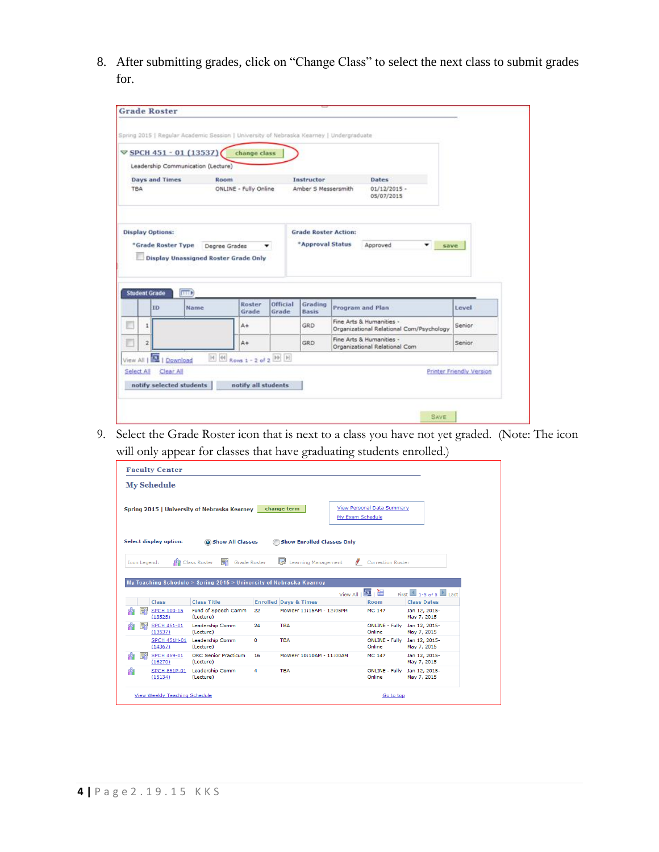8. After submitting grades, click on "Change Class" to select the next class to submit grades for.

|                                               | $\triangledown$ SPCH 451 - 01 (13537)       | change class                |                   |                                                 |                  |                                                                      |        |  |
|-----------------------------------------------|---------------------------------------------|-----------------------------|-------------------|-------------------------------------------------|------------------|----------------------------------------------------------------------|--------|--|
|                                               | Leadership Communication (Lecture)          |                             |                   |                                                 |                  |                                                                      |        |  |
| <b>Days and Times</b>                         | Room                                        |                             |                   | Instructor                                      |                  | Dates                                                                |        |  |
| <b>TBA</b>                                    |                                             | ONLINE - Fully Online       |                   | Amber S Messersmith                             |                  | $01/12/2015 -$<br>05/07/2015                                         |        |  |
| <b>Display Options:</b><br>*Grade Roster Type | <b>Display Unassigned Roster Grade Only</b> | Degree Grades               | ▼                 | <b>Grade Roster Action:</b><br>*Approval Status |                  | Approved<br>۰                                                        | save:  |  |
| <b>Student Grade</b>                          | <b>EXTER</b>                                |                             |                   |                                                 |                  |                                                                      |        |  |
| ID                                            | Name                                        | Roster<br>Grade             | Official<br>Grade | Grading<br>Basis                                | Program and Plan |                                                                      | Level  |  |
| 1                                             |                                             | $A +$                       |                   | GRD                                             |                  | Fine Arts & Humanities -<br>Organizational Relational Com/Psychology | Senior |  |
| $\overline{\mathbf{z}}$                       |                                             | $A +$                       |                   | GRD                                             |                  | Fine Arts & Humanities -<br>Organizational Relational Com            | Senior |  |
| View All                                      | 1 Download                                  | $H$ $H$ Rows 1 - 2 of 2 $H$ |                   |                                                 |                  |                                                                      |        |  |

9. Select the Grade Roster icon that is next to a class you have not yet graded. (Note: The icon will only appear for classes that have graduating students enrolled.)

|                               | <b>Faculty Center</b> |                                                                     |    |                                   |                  |                                   |                                                                   |  |
|-------------------------------|-----------------------|---------------------------------------------------------------------|----|-----------------------------------|------------------|-----------------------------------|-------------------------------------------------------------------|--|
| <b>My Schedule</b>            |                       |                                                                     |    |                                   |                  |                                   |                                                                   |  |
|                               |                       | Spring 2015   University of Nebraska Kearney                        |    | change term                       | My Exam Schedule | <b>View Personal Data Summary</b> |                                                                   |  |
| <b>Select display option:</b> |                       | Show All Classes                                                    |    | <b>Show Enrolled Classes Only</b> |                  |                                   |                                                                   |  |
|                               |                       | 통의<br><b>AR</b> Class Roster<br><b>Grade Roster</b>                 |    | Learning Management               |                  | Correction Roster                 |                                                                   |  |
|                               |                       |                                                                     |    |                                   |                  |                                   |                                                                   |  |
| Icon Legend:                  |                       |                                                                     |    |                                   |                  |                                   |                                                                   |  |
|                               |                       |                                                                     |    |                                   |                  |                                   |                                                                   |  |
|                               |                       | My Teaching Schedule > Spring 2015 > University of Nebraska Kearney |    |                                   |                  |                                   |                                                                   |  |
| <b>Class</b>                  |                       | <b>Class Title</b>                                                  |    | <b>Enrolled Days &amp; Times</b>  | View All   图   翻 | <b>Room</b>                       | First $\boxed{4}$ 1-5 of 5 $\boxed{2}$ Last<br><b>Class Dates</b> |  |
| (13525)                       | <b>SPCH 100-15</b>    | Fund of Speech Comm<br>(Lecture)                                    | 22 | MoWeFr 11:15AM - 12:05PM          |                  | MC 147                            | Jan 12, 2015-<br>May 7, 2015                                      |  |
| ER<br>88<br>(13537)           | <b>SPCH 451-01</b>    | Leadership Comm<br>(Lecture)                                        | 24 | <b>TBA</b>                        |                  | <b>ONLINE - Fully</b><br>Online   | Jan 12, 2015-<br>May 7, 2015                                      |  |
| (14367)                       | <b>SPCH 451H-01</b>   | Leadership Comm<br>(Lecture)                                        | 0  | <b>TBA</b>                        |                  | <b>ONLINE - Fully</b><br>Online   | Jan 12, 2015-<br>May 7, 2015                                      |  |
| 常郎<br>(16270)                 | <b>SPCH 459-01</b>    | <b>ORC Senior Practicum</b><br>(Lecture)                            | 16 | MoWeFr 10:10AM - 11:00AM          |                  | <b>MC 147</b>                     | Jan 12, 2015-<br>May 7, 2015                                      |  |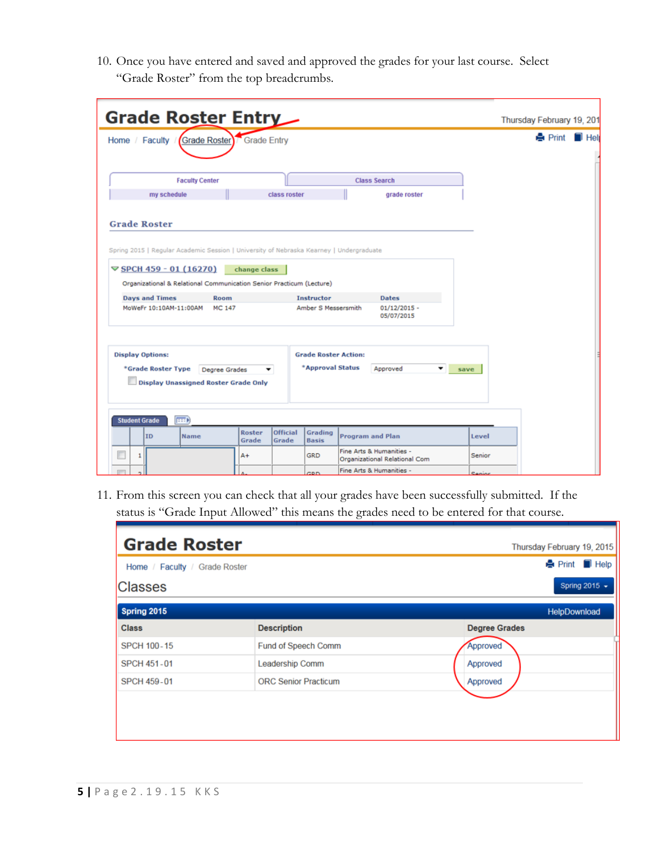10. Once you have entered and saved and approved the grades for your last course. Select "Grade Roster" from the top breadcrumbs.

| Grade Roster Entry                                                                                                                                                                                                                        |                 |                          |                                                 |                                                           |      |        | Thursday February 19, 201 |     |
|-------------------------------------------------------------------------------------------------------------------------------------------------------------------------------------------------------------------------------------------|-----------------|--------------------------|-------------------------------------------------|-----------------------------------------------------------|------|--------|---------------------------|-----|
| Home / Faculty / Grade Roster Grade Entry                                                                                                                                                                                                 |                 |                          |                                                 |                                                           |      |        | <b>A</b> Print            | Hel |
|                                                                                                                                                                                                                                           |                 |                          |                                                 |                                                           |      |        |                           |     |
| <b>Faculty Center</b>                                                                                                                                                                                                                     |                 |                          |                                                 | <b>Class Search</b>                                       |      |        |                           |     |
| my schedule                                                                                                                                                                                                                               |                 | class roster             |                                                 | grade roster                                              |      |        |                           |     |
| Spring 2015   Regular Academic Session   University of Nebraska Kearney   Undergraduate<br>$\triangledown$ SPCH 459 - 01 (16270)<br>Organizational & Relational Communication Senior Practicum (Lecture)<br><b>Days and Times</b><br>Room | change class    |                          | <b>Instructor</b>                               | <b>Dates</b>                                              |      |        |                           |     |
| MoWeFr 10:10AM-11:00AM<br><b>MC 147</b>                                                                                                                                                                                                   |                 |                          | Amber S Messersmith                             | $01/12/2015 -$<br>05/07/2015                              |      |        |                           |     |
| <b>Display Options:</b><br>*Grade Roster Type<br>Degree Grades<br><b>Display Unassigned Roster Grade Only</b>                                                                                                                             | <b>v</b>        |                          | <b>Grade Roster Action:</b><br>*Approval Status | Approved                                                  | save |        |                           |     |
| $\overline{H}$<br><b>Student Grade</b>                                                                                                                                                                                                    |                 |                          |                                                 |                                                           |      |        |                           |     |
| ID<br>Name                                                                                                                                                                                                                                | Roster<br>Grade | <b>Official</b><br>Grade | Grading<br><b>Basis</b>                         | <b>Program and Plan</b>                                   |      | Level  |                           |     |
| $\mathbf{1}$                                                                                                                                                                                                                              | $A +$           |                          | <b>GRD</b>                                      | Fine Arts & Humanities -<br>Organizational Relational Com |      | Senior |                           |     |
|                                                                                                                                                                                                                                           |                 |                          | <b>CPD</b>                                      | Fine Arts & Humanities -                                  |      | Senior |                           |     |

11. From this screen you can check that all your grades have been successfully submitted. If the status is "Grade Input Allowed" this means the grades need to be entered for that course.

| <b>Grade Roster</b>           |                             | Thursday February 19, 2015 |
|-------------------------------|-----------------------------|----------------------------|
| Home / Faculty / Grade Roster |                             | <b>A</b> Print ■ Help      |
| <b>Classes</b>                |                             | Spring 2015 $\star$        |
| Spring 2015                   |                             | HelpDownload               |
| <b>Class</b>                  | <b>Description</b>          | <b>Degree Grades</b>       |
| <b>SPCH 100-15</b>            | Fund of Speech Comm         | Approved                   |
| <b>SPCH 451-01</b>            | Leadership Comm             | Approved                   |
| <b>SPCH 459-01</b>            | <b>ORC Senior Practicum</b> | Approved                   |
|                               |                             |                            |
|                               |                             |                            |
|                               |                             |                            |